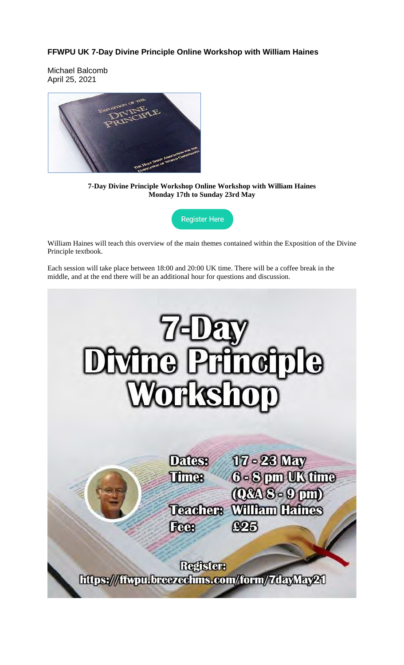# **FFWPU UK 7-Day Divine Principle Online Workshop with William Haines**

Michael Balcomb April 25, 2021



**7-Day Divine Principle Workshop Online Workshop with William Haines Monday 17th to Sunday 23rd May**

**Register Here** 

William Haines will teach this overview of the main themes contained within the Exposition of the Divine Principle textbook.

Each session will take place between 18:00 and 20:00 UK time. There will be a coffee break in the middle, and at the end there will be an additional hour for questions and discussion.